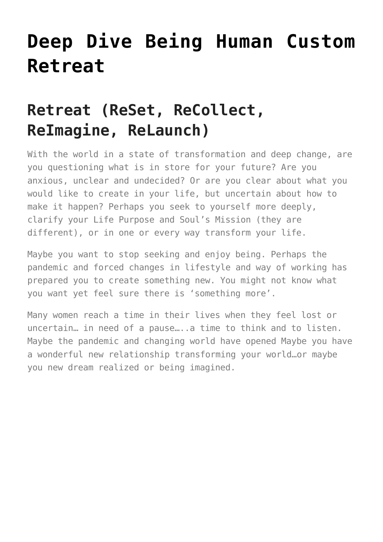# **[Deep Dive Being Human Custom](https://beinghumanlife.com/work-with-nina/deep-dive-being-human-custom-retreat/) [Retreat](https://beinghumanlife.com/work-with-nina/deep-dive-being-human-custom-retreat/)**

## **Retreat (ReSet, ReCollect, ReImagine, ReLaunch)**

With the world in a state of transformation and deep change, are you questioning what is in store for your future? Are you anxious, unclear and undecided? Or are you clear about what you would like to create in your life, but uncertain about how to make it happen? Perhaps you seek to yourself more deeply, clarify your Life Purpose and Soul's Mission (they are different), or in one or every way transform your life.

Maybe you want to stop seeking and enjoy being. Perhaps the pandemic and forced changes in lifestyle and way of working has prepared you to create something new. You might not know what you want yet feel sure there is 'something more'.

Many women reach a time in their lives when they feel lost or uncertain… in need of a pause…..a time to think and to listen. Maybe the pandemic and changing world have opened Maybe you have a wonderful new relationship transforming your world…or maybe you new dream realized or being imagined.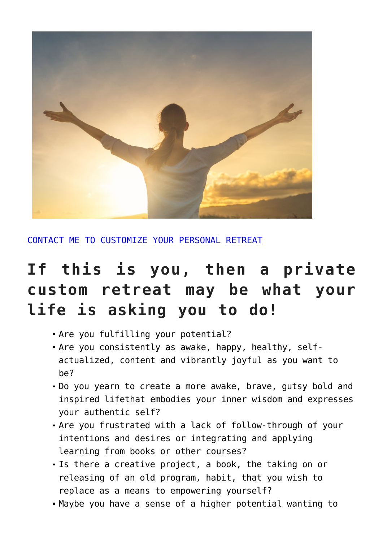

[CONTACT ME TO CUSTOMIZE YOUR PERSONAL RETREAT](http://beinghumanlife.com/contact/)

## **If this is you, then a private custom retreat may be what your life is asking you to do!**

- Are you fulfilling your potential?
- Are you consistently as awake, happy, healthy, selfactualized, content and vibrantly joyful as you want to be?
- Do you yearn to create a more awake, brave, gutsy bold and inspired lifethat embodies your inner wisdom and expresses your authentic self?
- Are you frustrated with a lack of follow-through of your intentions and desires or integrating and applying learning from books or other courses?
- Is there a creative project, a book, the taking on or releasing of an old program, habit, that you wish to replace as a means to empowering yourself?
- Maybe you have a sense of a higher potential wanting to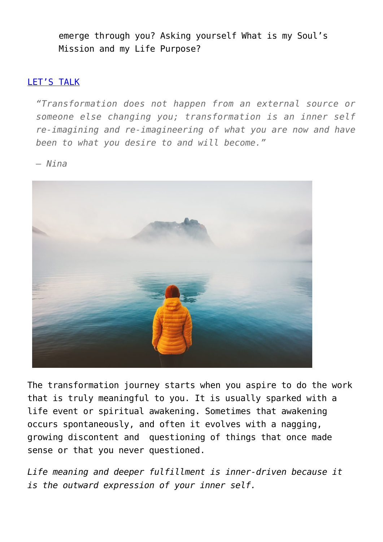emerge through you? Asking yourself What is my Soul's Mission and my Life Purpose?

#### [LET'S TALK](http://beinghumanlife.com/contact/)

*"Transformation does not happen from an external source or someone else changing you; transformation is an inner self re-imagining and re-imagineering of what you are now and have been to what you desire to and will become."*

*– Nina*



The transformation journey starts when you aspire to do the work that is truly meaningful to you. It is usually sparked with a life event or spiritual awakening. Sometimes that awakening occurs spontaneously, and often it evolves with a nagging, growing discontent and questioning of things that once made sense or that you never questioned.

*Life meaning and deeper fulfillment is inner-driven because it is the outward expression of your inner self.*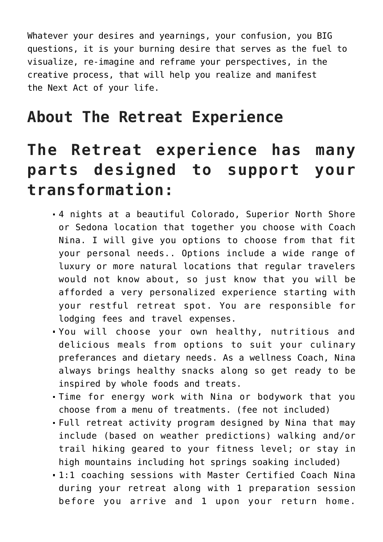Whatever your desires and yearnings, your confusion, you BIG questions, it is your burning desire that serves as the fuel to visualize, re-imagine and reframe your perspectives, in the creative process, that will help you realize and manifest the Next Act of your life.

### **About The Retreat Experience**

## **The Retreat experience has many parts designed to support your transformation:**

- 4 nights at a beautiful Colorado, Superior North Shore or Sedona location that together you choose with Coach Nina. I will give you options to choose from that fit your personal needs.. Options include a wide range of luxury or more natural locations that regular travelers would not know about, so just know that you will be afforded a very personalized experience starting with your restful retreat spot. You are responsible for lodging fees and travel expenses.
- You will choose your own healthy, nutritious and delicious meals from options to suit your culinary preferances and dietary needs. As a wellness Coach, Nina always brings healthy snacks along so get ready to be inspired by whole foods and treats.
- Time for energy work with Nina or bodywork that you choose from a menu of treatments. (fee not included)
- Full retreat activity program designed by Nina that may include (based on weather predictions) walking and/or trail hiking geared to your fitness level; or stay in high mountains including hot springs soaking included)
- 1:1 coaching sessions with Master Certified Coach Nina during your retreat along with 1 preparation session before you arrive and 1 upon your return home.